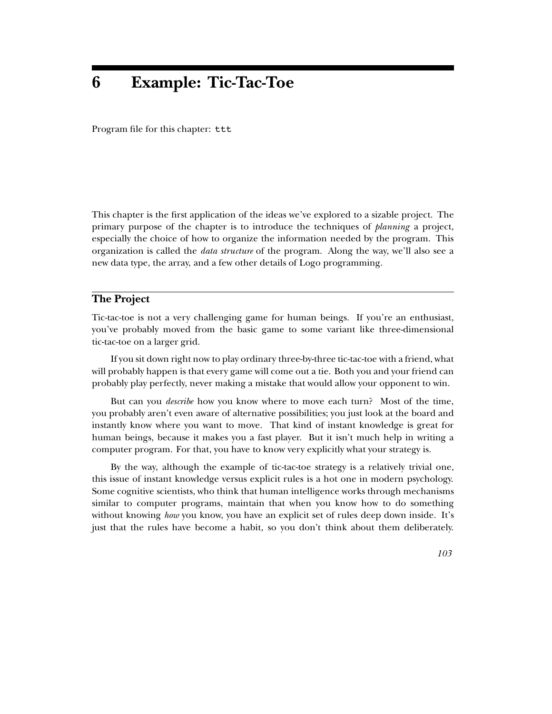# **6 Example: Tic-Tac-Toe**

Program file for this chapter: ttt

primary purpose of the chapter is to introduce the techniques of *planning* a project, organization is called the *data structure* of the program. Along the way, we'll also see a This chapter is the first application of the ideas we've explored to a sizable project. The especially the choice of how to organize the information needed by the program. This new data type, the array, and a few other details of Logo programming.

# **The Project**

Tic-tac-toe is not a very challenging game for human beings. If you're an enthusiast, you've probably moved from the basic game to some variant like three-dimensional tic-tac-toe on a larger grid.

If you sit down right now to play ordinary three-by-three tic-tac-toe with a friend, what will probably happen is that every game will come out a tie. Both you and your friend can probably play perfectly, never making a mistake that would allow your opponent to win.

But can you *describe* how you know where to move each turn? Most of the time, you probably aren't even aware of alternative possibilities; you just look at the board and instantly know where you want to move. That kind of instant knowledge is great for human beings, because it makes you a fast player. But it isn't much help in writing a computer program. For that, you have to know very explicitly what your strategy is.

without knowing *how* you know, you have an explicit set of rules deep down inside. It's By the way, although the example of tic-tac-toe strategy is a relatively trivial one, this issue of instant knowledge versus explicit rules is a hot one in modern psychology. Some cognitive scientists, who think that human intelligence works through mechanisms similar to computer programs, maintain that when you know how to do something just that the rules have become a habit, so you don't think about them deliberately.

*103*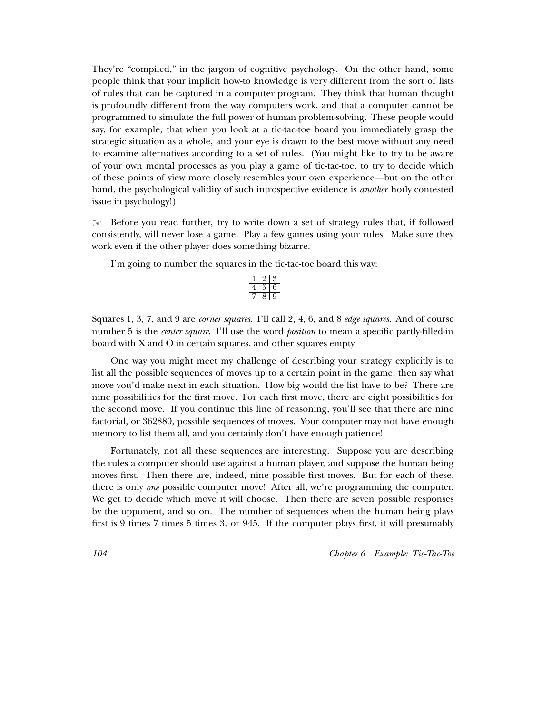hand, the psychological validity of such introspective evidence is *another* hotly contested They're "compiled," in the jargon of cognitive psychology. On the other hand, some people think that your implicit how-to knowledge is very different from the sort of lists of rules that can be captured in a computer program. They think that human thought is profoundly different from the way computers work, and that a computer cannot be programmed to simulate the full power of human problem-solving. These people would say, for example, that when you look at a tic-tac-toe board you immediately grasp the strategic situation as a whole, and your eye is drawn to the best move without any need to examine alternatives according to a set of rules. (You might like to try to be aware of your own mental processes as you play a game of tic-tac-toe, to try to decide which of these points of view more closely resembles your own experience—but on the other issue in psychology!)

☞ Before you read further, try to write down a set of strategy rules that, if followed consistently, will never lose a game. Play a few games using your rules. Make sure they work even if the other player does something bizarre.

I'm going to number the squares in the tic-tac-toe board this way:

Squares 1, 3, 7, and 9 are *corner squares*. I'll call 2, 4, 6, and 8 *edge squares*. And of course number 5 is the *center square*. I'll use the word *position* to mean a specific partly-filled-in board with X and O in certain squares, and other squares empty.

One way you might meet my challenge of describing your strategy explicitly is to list all the possible sequences of moves up to a certain point in the game, then say what move you'd make next in each situation. How big would the list have to be? There are nine possibilities for the first move. For each first move, there are eight possibilities for the second move. If you continue this line of reasoning, you'll see that there are nine factorial, or 362880, possible sequences of moves. Your computer may not have enough memory to list them all, and you certainly don't have enough patience!

there is only *one* possible computer move! After all, we're programming the computer. Fortunately, not all these sequences are interesting. Suppose you are describing the rules a computer should use against a human player, and suppose the human being moves first. Then there are, indeed, nine possible first moves. But for each of these, We get to decide which move it will choose. Then there are seven possible responses by the opponent, and so on. The number of sequences when the human being plays first is 9 times 7 times 5 times 3, or 945. If the computer plays first, it will presumably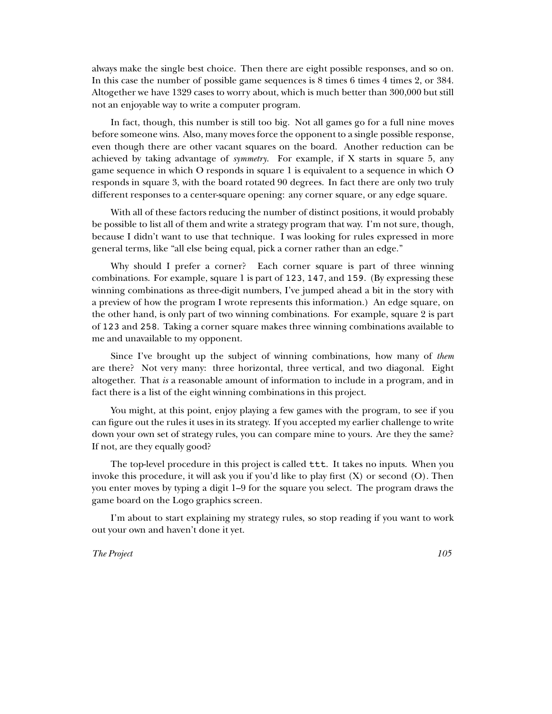always make the single best choice. Then there are eight possible responses, and so on. In this case the number of possible game sequences is 8 times 6 times 4 times 2, or 384. Altogether we have 1329 cases to worry about, which is much better than 300,000 but still not an enjoyable way to write a computer program.

achieved by taking advantage of *symmetry*. For example, if X starts in square 5, any In fact, though, this number is still too big. Not all games go for a full nine moves before someone wins. Also, many moves force the opponent to a single possible response, even though there are other vacant squares on the board. Another reduction can be game sequence in which O responds in square 1 is equivalent to a sequence in which O responds in square 3, with the board rotated 90 degrees. In fact there are only two truly different responses to a center-square opening: any corner square, or any edge square.

With all of these factors reducing the number of distinct positions, it would probably be possible to list all of them and write a strategy program that way. I'm not sure, though, because I didn't want to use that technique. I was looking for rules expressed in more general terms, like "all else being equal, pick a corner rather than an edge."

combinations. For example, square  $1$  is part of  $123, 147,$  and  $159$ . (By expressing these of 123 and 258. Taking a corner square makes three winning combinations available to Why should I prefer a corner? Each corner square is part of three winning winning combinations as three-digit numbers, I've jumped ahead a bit in the story with a preview of how the program I wrote represents this information.) An edge square, on the other hand, is only part of two winning combinations. For example, square 2 is part me and unavailable to my opponent.

Since I've brought up the subject of winning combinations, how many of *them* altogether. That *is* a reasonable amount of information to include in a program, and in are there? Not very many: three horizontal, three vertical, and two diagonal. Eight fact there is a list of the eight winning combinations in this project.

You might, at this point, enjoy playing a few games with the program, to see if you can figure out the rules it uses in its strategy. If you accepted my earlier challenge to write down your own set of strategy rules, you can compare mine to yours. Are they the same? If not, are they equally good?

The top-level procedure in this project is called **ttt**. It takes no inputs. When you invoke this procedure, it will ask you if you'd like to play first (X) or second (O). Then you enter moves by typing a digit 1–9 for the square you select. The program draws the game board on the Logo graphics screen.

I'm about to start explaining my strategy rules, so stop reading if you want to work out your own and haven't done it yet.

*The Project 105*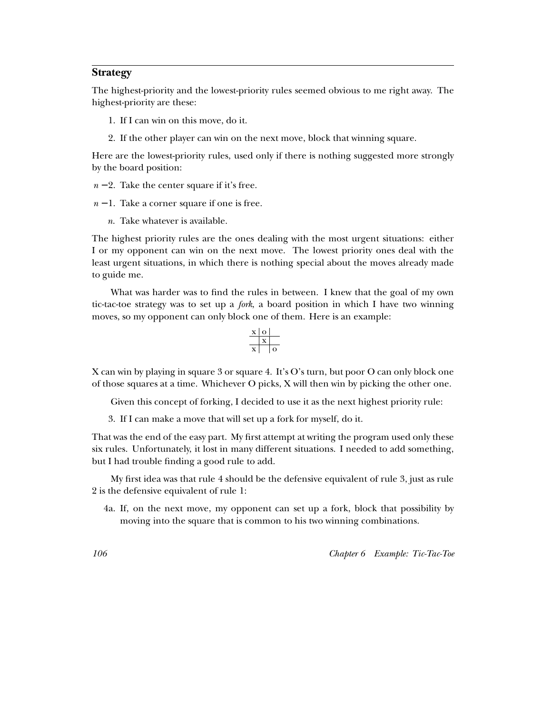## **Strategy**

The highest-priority and the lowest-priority rules seemed obvious to me right away. The highest-priority are these:

- 1. If I can win on this move, do it.
- 2. If the other player can win on the next move, block that winning square.

Here are the lowest-priority rules, used only if there is nothing suggested more strongly by the board position:

- *n* − 2. Take the center square if it's free.
- *n* − 1. Take a corner square if one is free.
	- *n* . Take whatever is available.

The highest priority rules are the ones dealing with the most urgent situations: either I or my opponent can win on the next move. The lowest priority ones deal with the least urgent situations, in which there is nothing special about the moves already made to guide me.

tic-tac-toe strategy was to set up a *fork*, a board position in which I have two winning What was harder was to find the rules in between. I knew that the goal of my own moves, so my opponent can only block one of them. Here is an example:

$$
\begin{array}{c|c}\n\hline\nx & o \\
\hline\nx & o \\
\hline\nx & o\n\end{array}
$$

X can win by playing in square 3 or square 4. It's O's turn, but poor O can only block one of those squares at a time. Whichever O picks, X will then win by picking the other one.

Given this concept of forking, I decided to use it as the next highest priority rule:

3. If I can make a move that will set up a fork for myself, do it.

That was the end of the easy part. My first attempt at writing the program used only these six rules. Unfortunately, it lost in many different situations. I needed to add something, but I had trouble finding a good rule to add.

My first idea was that rule 4 should be the defensive equivalent of rule 3, just as rule 2 is the defensive equivalent of rule 1:

4a. If, on the next move, my opponent can set up a fork, block that possibility by moving into the square that is common to his two winning combinations.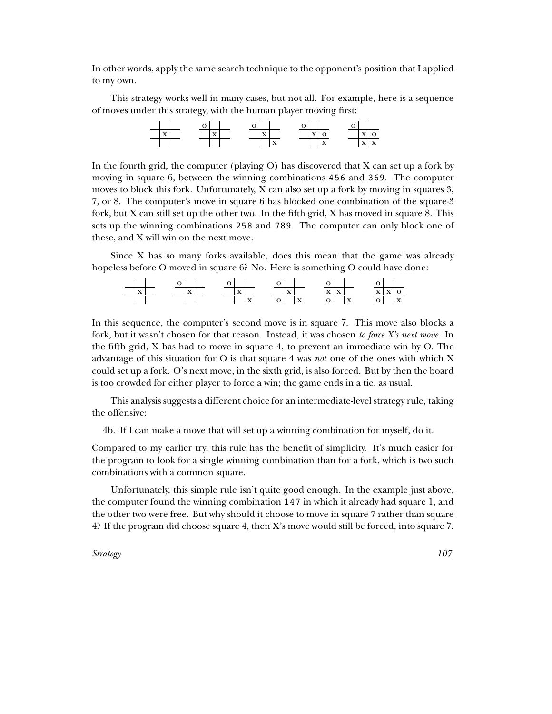In other words, apply the same search technique to the opponent's position that I applied to my own.

This strategy works well in many cases, but not all. For example, here is a sequence of moves under this strategy, with the human player moving first:



moving in square 6, between the winning combinations 456 and 369. The computer sets up the winning combinations 258 and 789. The computer can only block one of In the fourth grid, the computer (playing  $O$ ) has discovered that X can set up a fork by moves to block this fork. Unfortunately, X can also set up a fork by moving in squares 3, 7, or 8. The computer's move in square 6 has blocked one combination of the square-3 fork, but X can still set up the other two. In the fifth grid, X has moved in square 8. This these, and X will win on the next move.

Since X has so many forks available, does this mean that the game was already hopeless before O moved in square 6? No. Here is something O could have done:



fork, but it wasn't chosen for that reason. Instead, it was chosen *to force X's next move*. In advantage of this situation for O is that square 4 was *not* one of the ones with which X In this sequence, the computer's second move is in square 7. This move also blocks a the fifth grid, X has had to move in square 4, to prevent an immediate win by O. The could set up a fork. O's next move, in the sixth grid, is also forced. But by then the board is too crowded for either player to force a win; the game ends in a tie, as usual.

This analysis suggests a different choice for an intermediate-level strategy rule, taking the offensive:

4b. If I can make a move that will set up a winning combination for myself, do it.

Compared to my earlier try, this rule has the benefit of simplicity. It's much easier for the program to look for a single winning combination than for a fork, which is two such combinations with a common square.

the computer found the winning combination 147 in which it already had square 1, and Unfortunately, this simple rule isn't quite good enough. In the example just above, the other two were free. But why should it choose to move in square 7 rather than square 4? If the program did choose square 4, then X's move would still be forced, into square 7.

#### *Strategy 107*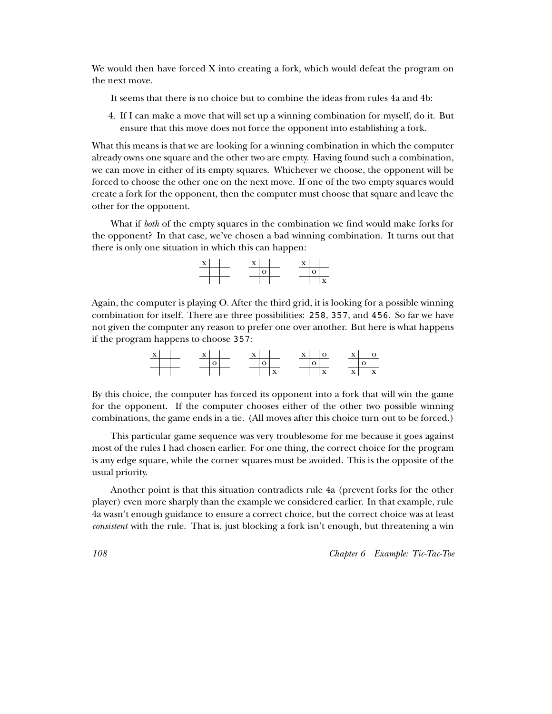We would then have forced X into creating a fork, which would defeat the program on the next move.

It seems that there is no choice but to combine the ideas from rules 4a and 4b:

4. If I can make a move that will set up a winning combination for myself, do it. But ensure that this move does not force the opponent into establishing a fork.

What this means is that we are looking for a winning combination in which the computer already owns one square and the other two are empty. Having found such a combination, we can move in either of its empty squares. Whichever we choose, the opponent will be forced to choose the other one on the next move. If one of the two empty squares would create a fork for the opponent, then the computer must choose that square and leave the other for the opponent.

What if *both* of the empty squares in the combination we find would make forks for the opponent? In that case, we've chosen a bad winning combination. It turns out that there is only one situation in which this can happen:



combination for itself. There are three possibilities: 258, 357, and 456. So far we have if the program happens to choose 357: Again, the computer is playing O. After the third grid, it is looking for a possible winning not given the computer any reason to prefer one over another. But here is what happens

| --<br>- |  |  |  |  |    | -- |       | ٠.                        |    |
|---------|--|--|--|--|----|----|-------|---------------------------|----|
|         |  |  |  |  |    |    |       |                           |    |
|         |  |  |  |  | -- |    | - - - | ۳z<br>$\rightarrow$<br>-- | -- |

By this choice, the computer has forced its opponent into a fork that will win the game for the opponent. If the computer chooses either of the other two possible winning combinations, the game ends in a tie. (All moves after this choice turn out to be forced.)

This particular game sequence was very troublesome for me because it goes against most of the rules I had chosen earlier. For one thing, the correct choice for the program is any edge square, while the corner squares must be avoided. This is the opposite of the usual priority.

*consistent* with the rule. That is, just blocking a fork isn't enough, but threatening a winAnother point is that this situation contradicts rule 4a (prevent forks for the other player) even more sharply than the example we considered earlier. In that example, rule 4a wasn't enough guidance to ensure a correct choice, but the correct choice was at least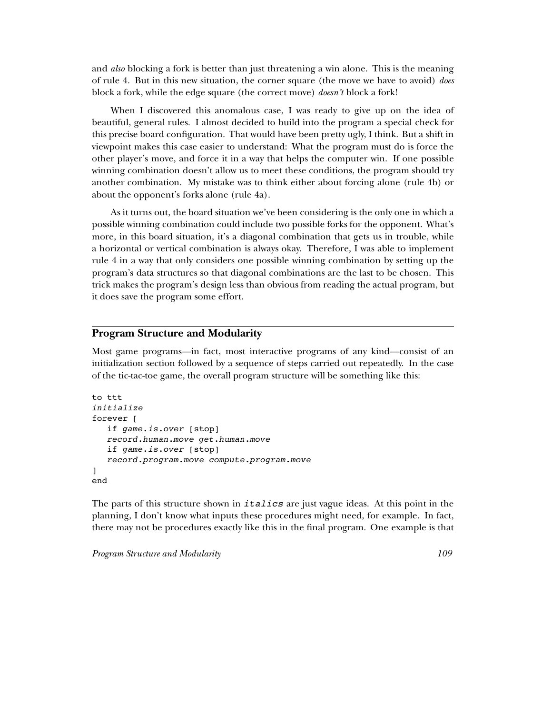and *also* blocking a fork is better than just threatening a win alone. This is the meaning of rule 4. But in this new situation, the corner square (the move we have to avoid) *does* block a fork, while the edge square (the correct move) doesn't block a fork!

When I discovered this anomalous case, I was ready to give up on the idea of beautiful, general rules. I almost decided to build into the program a special check for this precise board configuration. That would have been pretty ugly, I think. But a shift in viewpoint makes this case easier to understand: What the program must do is force the other player's move, and force it in a way that helps the computer win. If one possible winning combination doesn't allow us to meet these conditions, the program should try another combination. My mistake was to think either about forcing alone (rule 4b) or about the opponent's forks alone (rule 4a).

As it turns out, the board situation we've been considering is the only one in which a possible winning combination could include two possible forks for the opponent. What's more, in this board situation, it's a diagonal combination that gets us in trouble, while a horizontal or vertical combination is always okay. Therefore, I was able to implement rule 4 in a way that only considers one possible winning combination by setting up the program's data structures so that diagonal combinations are the last to be chosen. This trick makes the program's design less than obvious from reading the actual program, but it does save the program some effort.

# **Program Structure and Modularity**

Most game programs—in fact, most interactive programs of any kind—consist of an initialization section followed by a sequence of steps carried out repeatedly. In the case of the tic-tac-toe game, the overall program structure will be something like this:

```
to ttt
forever [
   if game.is.over [stop]
   if game.is.over [stop]
]
end
initialize
   record.human.move get.human.move
   record.program.move compute.program.move
```
The parts of this structure shown in *italics* are just vague ideas. At this point in the planning, I don't know what inputs these procedures might need, for example. In fact, there may not be procedures exactly like this in the final program. One example is that

*Program Structure and Modularity 109*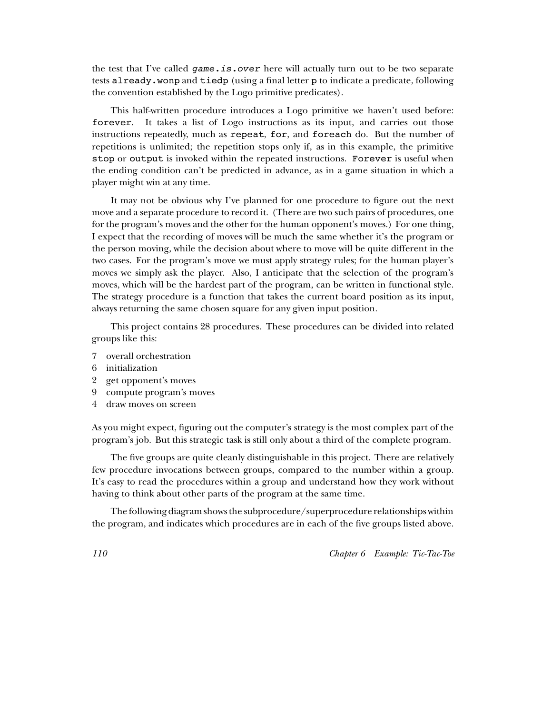the test that I've called game.is.over here will actually turn out to be two separate tests  $\mathtt{already}.$  wonp and  $\mathtt{tiedp}$  (using a final letter  $\mathtt{p}$  to indicate a predicate, following the convention established by the Logo primitive predicates).

forever . It takes a list of Logo instructions as its input, and carries out those instructions repeatedly, much as repeat, for, and foreach do. But the number of stop or output is invoked within the repeated instructions. Forever is useful when This half-written procedure introduces a Logo primitive we haven't used before: repetitions is unlimited; the repetition stops only if, as in this example, the primitive the ending condition can't be predicted in advance, as in a game situation in which a player might win at any time.

It may not be obvious why I've planned for one procedure to figure out the next move and a separate procedure to record it. (There are two such pairs of procedures, one for the program's moves and the other for the human opponent's moves.) For one thing, I expect that the recording of moves will be much the same whether it's the program or the person moving, while the decision about where to move will be quite different in the two cases. For the program's move we must apply strategy rules; for the human player's moves we simply ask the player. Also, I anticipate that the selection of the program's moves, which will be the hardest part of the program, can be written in functional style. The strategy procedure is a function that takes the current board position as its input, always returning the same chosen square for any given input position.

This project contains 28 procedures. These procedures can be divided into related groups like this:

- 7 overall orchestration
- 6 initialization
- 2 get opponent's moves
- 9 compute program's moves
- 4 draw moves on screen

As you might expect, figuring out the computer's strategy is the most complex part of the program's job. But this strategic task is still only about a third of the complete program.

The five groups are quite cleanly distinguishable in this project. There are relatively few procedure invocations between groups, compared to the number within a group. It's easy to read the procedures within a group and understand how they work without having to think about other parts of the program at the same time.

The following diagram shows the subprocedure/superprocedure relationships within the program, and indicates which procedures are in each of the five groups listed above.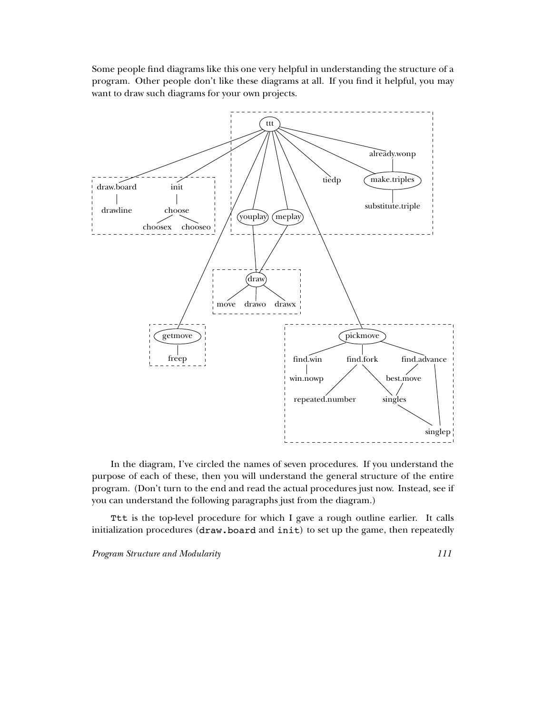Some people find diagrams like this one very helpful in understanding the structure of a program. Other people don't like these diagrams at all. If you find it helpful, you may want to draw such diagrams for your own projects.



In the diagram, I've circled the names of seven procedures. If you understand the purpose of each of these, then you will understand the general structure of the entire program. (Don't turn to the end and read the actual procedures just now. Instead, see if you can understand the following paragraphs just from the diagram.)

Ttt is the top-level procedure for which I gave a rough outline earlier. It calls initialization procedures (draw.board and init) to set up the game, then repeatedly

*Program Structure and Modularity 111*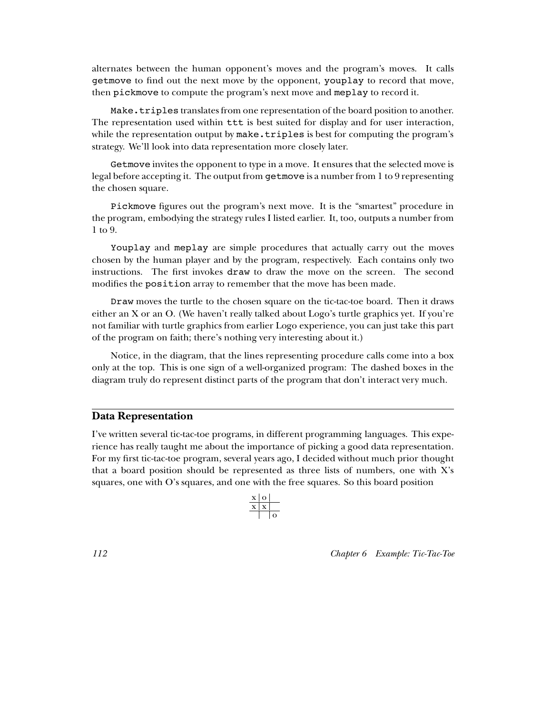getmove to find out the next move by the opponent, youplay to record that move, then pickmove to compute the program's next move and meplay to record it. alternates between the human opponent's moves and the program's moves. It calls

 $\texttt{Make-triples}$  translates from one representation of the board position to another. The representation used within  $ttt$  is best suited for display and for user interaction, while the representation output by  $\texttt{make-triples}$  is best for computing the program's strategy. We'll look into data representation more closely later.

Getmove invites the opponent to type in a move. It ensures that the selected move is legal before accepting it. The output from  $\mathtt{getmove}$  is a number from  $1$  to  $9$  representing the chosen square.

Pickmove figures out the program's next move. It is the "smartest" procedure in the program, embodying the strategy rules I listed earlier. It, too, outputs a number from 1 to 9.

Youplay and meplay are simple procedures that actually carry out the moves instructions. The first invokes draw to draw the move on the screen. The second modifies the position array to remember that the move has been made. chosen by the human player and by the program, respectively. Each contains only two

Draw moves the turtle to the chosen square on the tic-tac-toe board. Then it draws either an X or an O. (We haven't really talked about Logo's turtle graphics yet. If you're not familiar with turtle graphics from earlier Logo experience, you can just take this part of the program on faith; there's nothing very interesting about it.)

Notice, in the diagram, that the lines representing procedure calls come into a box only at the top. This is one sign of a well-organized program: The dashed boxes in the diagram truly do represent distinct parts of the program that don't interact very much.

## **Data Representation**

I've written several tic-tac-toe programs, in different programming languages. This experience has really taught me about the importance of picking a good data representation. For my first tic-tac-toe program, several years ago, I decided without much prior thought that a board position should be represented as three lists of numbers, one with X's squares, one with O's squares, and one with the free squares. So this board position

$$
\begin{array}{c|c}\n\hline\nx & o & \\
\hline\nx & x & \\
\hline\n & 0 & \\
\hline\n\end{array}
$$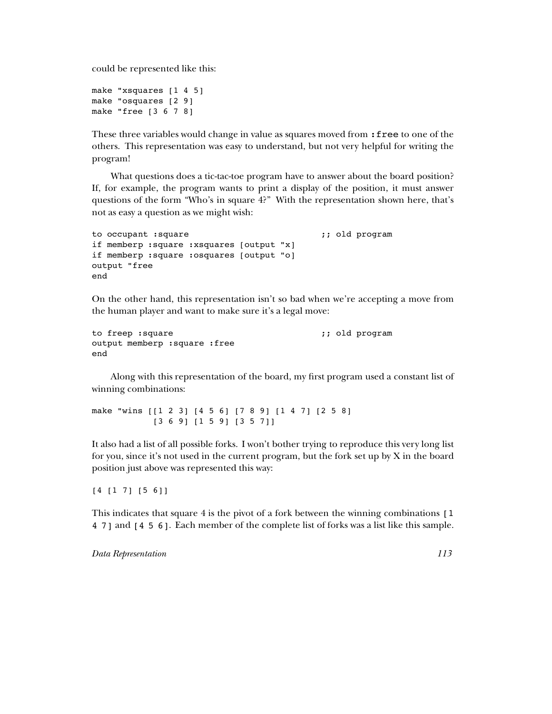could be represented like this:

```
make "xsquares [1 4 5]
make "osquares [2 9]
make "free [3 6 7 8]
```
These three variables would change in value as squares moved from  $\,:\,$  free to one of the others. This representation was easy to understand, but not very helpful for writing the program!

What questions does a tic-tac-toe program have to answer about the board position? If, for example, the program wants to print a display of the position, it must answer questions of the form "Who's in square 4?" With the representation shown here, that's not as easy a question as we might wish:

```
to occupant : square ; if the square ; dd program
if memberp :square :xsquares [output "x]
if memberp :square :osquares [output "o]
output "free
end
```
On the other hand, this representation isn't so bad when we're accepting a move from the human player and want to make sure it's a legal move:

```
to freep : square \qquad \qquad ; old program
output memberp :square :free
end
```
Along with this representation of the board, my first program used a constant list of winning combinations:

make "wins [[1 2 3] [4 5 6] [7 8 9] [1 4 7] [2 5 8] [3 6 9] [1 5 9] [3 5 7]]

It also had a list of all possible forks. I won't bother trying to reproduce this very long list for you, since it's not used in the current program, but the fork set up by X in the board position just above was represented this way:

[4 [1 7] [5 6]]

This indicates that square 4 is the pivot of a fork between the winning combinations [1 4 7] and [4 5 6]. Each member of the complete list of forks was a list like this sample.

*Data Representation 113*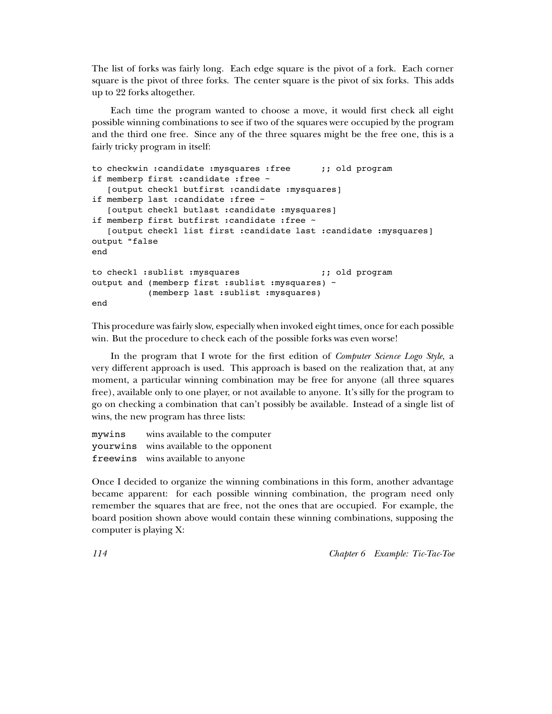The list of forks was fairly long. Each edge square is the pivot of a fork. Each corner square is the pivot of three forks. The center square is the pivot of six forks. This adds up to 22 forks altogether.

Each time the program wanted to choose a move, it would first check all eight possible winning combinations to see if two of the squares were occupied by the program and the third one free. Since any of the three squares might be the free one, this is a fairly tricky program in itself:

```
to checkwin : candidate : mysquares : free ;; old program
if memberp first :candidate :free ~
   [output check1 butfirst :candidate :mysquares]
if memberp last :candidate :free ~
  [output check1 butlast :candidate :mysquares]
if memberp first butfirst :candidate :free ~
  [output check1 list first :candidate last :candidate :mysquares]
output "false
end
to check1 :sublist :mysquares ;; old program
output and (memberp first :sublist :mysquares) ~
          (memberp last :sublist :mysquares)
end
```
This procedure was fairly slow, especially when invoked eight times, once for each possible win. But the procedure to check each of the possible forks was even worse!

In the program that I wrote for the first edition of *Computer Science Logo Style*, a very different approach is used. This approach is based on the realization that, at any moment, a particular winning combination may be free for anyone (all three squares free), available only to one player, or not available to anyone. It's silly for the program to go on checking a combination that can't possibly be available. Instead of a single list of wins, the new program has three lists:

mywins yourwins wins available to the opponent freewins wins available to anyone wins available to the computer

Once I decided to organize the winning combinations in this form, another advantage became apparent: for each possible winning combination, the program need only remember the squares that are free, not the ones that are occupied. For example, the board position shown above would contain these winning combinations, supposing the computer is playing X: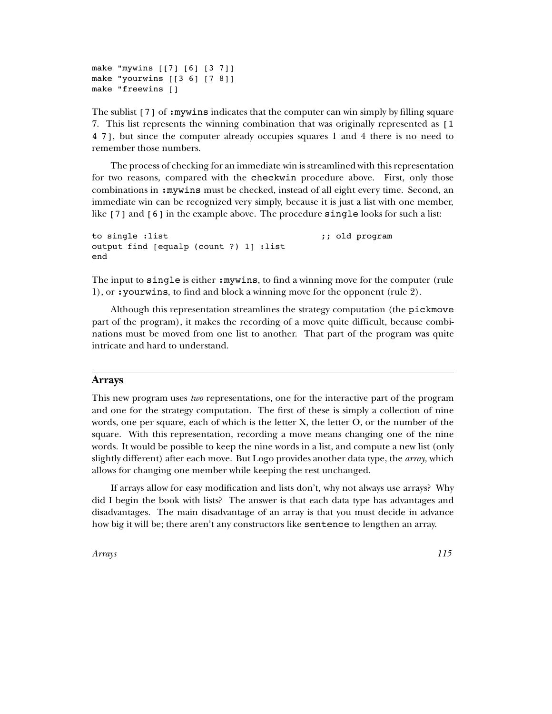```
make "mywins [[7] [6] [3 7]]
make "yourwins [[3 6] [7 8]]
make "freewins []
```
The sublist  $[7]$  of :mywins indicates that the computer can win simply by filling square 7. This list represents the winning combination that was originally represented as [1] 4 7] , but since the computer already occupies squares 1 and 4 there is no need to remember those numbers.

for two reasons, compared with the checkwin procedure above. First, only those combinations in: mywins must be checked, instead of all eight every time. Second, an like  $[7]$  and  $[6]$  in the example above. The procedure  $\operatorname{\textsf{single}}$  looks for such a list: The process of checking for an immediate win is streamlined with this representation immediate win can be recognized very simply, because it is just a list with one member,

```
to single : list \qquad \qquad ; old program
output find [equalp (count ?) 1] :list
end
```
The input to single is either : mywins, to find a winning move for the computer (rule 1), or  $:y$  ourwins, to find and block a winning move for the opponent (rule 2).

Although this representation streamlines the strategy computation (the pickmove part of the program), it makes the recording of a move quite difficult, because combinations must be moved from one list to another. That part of the program was quite intricate and hard to understand.

### **Arrays**

This new program uses two representations, one for the interactive part of the program slightly different) after each move. But Logo provides another data type, the *arra*y, which and one for the strategy computation. The first of these is simply a collection of nine words, one per square, each of which is the letter X, the letter O, or the number of the square. With this representation, recording a move means changing one of the nine words. It would be possible to keep the nine words in a list, and compute a new list (only allows for changing one member while keeping the rest unchanged.

how big it will be; there aren't any constructors like sentence to lengthen an array. If arrays allow for easy modification and lists don't, why not always use arrays? Why did I begin the book with lists? The answer is that each data type has advantages and disadvantages. The main disadvantage of an array is that you must decide in advance

#### *Arrays 115*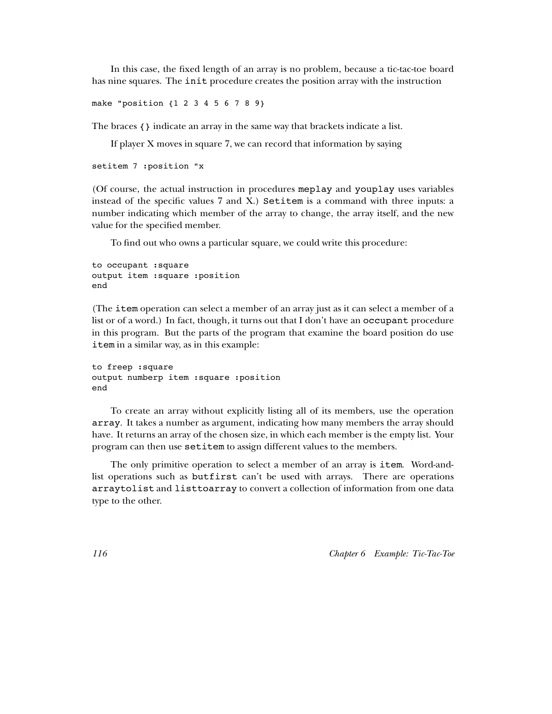has nine squares. The <code>init</code> procedure creates the position array with the instruction In this case, the fixed length of an array is no problem, because a tic-tac-toe board

make "position {1 2 3 4 5 6 7 8 9}

The braces { } indicate an array in the same way that brackets indicate a list.

If player X moves in square 7, we can record that information by saying

setitem 7 :position "x

(Of course, the actual instruction in procedures meplay and youplay uses variables instead of the specific values  $7$  and X.) Setitem is a command with three inputs: a number indicating which member of the array to change, the array itself, and the new value for the specified member.

To find out who owns a particular square, we could write this procedure:

```
to occupant :square
output item :square :position
end
```
(The item operation can select a member of an array just as it can select a member of a list or of a word.) In fact, though, it turns out that I don't have an  ${\tt occupant}$  procedure item in a similar way, as in this example: in this program. But the parts of the program that examine the board position do use

to freep :square output numberp item :square :position end

array . It takes a number as argument, indicating how many members the array should program can then use setitem to assign different values to the members. To create an array without explicitly listing all of its members, use the operation have. It returns an array of the chosen size, in which each member is the empty list. Your

The only primitive operation to select a member of an array is item. Word-andlist operations such as butfirst can't be used with arrays. There are operations arraytolist and listtoarray to convert a collection of information from one data type to the other.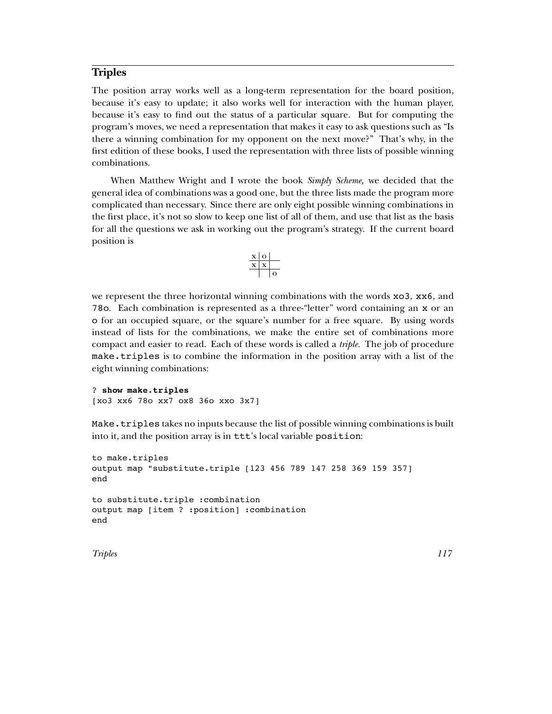# **Triples**

The position array works well as a long-term representation for the board position, because it's easy to update; it also works well for interaction with the human player, because it's easy to find out the status of a particular square. But for computing the program's moves, we need a representation that makes it easy to ask questions such as "Is there a winning combination for my opponent on the next move?" That's why, in the first edition of these books, I used the representation with three lists of possible winning combinations.

When Matthew Wright and I wrote the book *Simply Scheme*, we decided that the general idea of combinations was a good one, but the three lists made the program more complicated than necessary. Since there are only eight possible winning combinations in the first place, it's not so slow to keep one list of all of them, and use that list as the basis for all the questions we ask in working out the program's strategy. If the current board position is

$$
\begin{array}{c|c}\nx & o & \\
\hline\nx & x & \\
\hline\n & 0\n\end{array}
$$

compact and easier to read. Each of these words is called a *triple*. The job of procedure we represent the three horizontal winning combinations with the words  $xo3$ ,  $xx6$ , and 780. Each combination is represented as a three-"letter" word containing an x or an o for an occupied square, or the square's number for a free square. By using words make.triples is to combine the information in the position array with a list of the instead of lists for the combinations, we make the entire set of combinations more eight winning combinations:

**show make.triples** ? [xo3 xx6 78o xx7 ox8 36o xxo 3x7]

 $\texttt{Make-triples}$  takes no inputs because the list of possible winning combinations is built into it, and the position array is in ttt's local variable position:

```
to make.triples
output map "substitute.triple [123 456 789 147 258 369 159 357]
end
to substitute.triple :combination
output map [item ? :position] :combination
end
```
*Triples 117*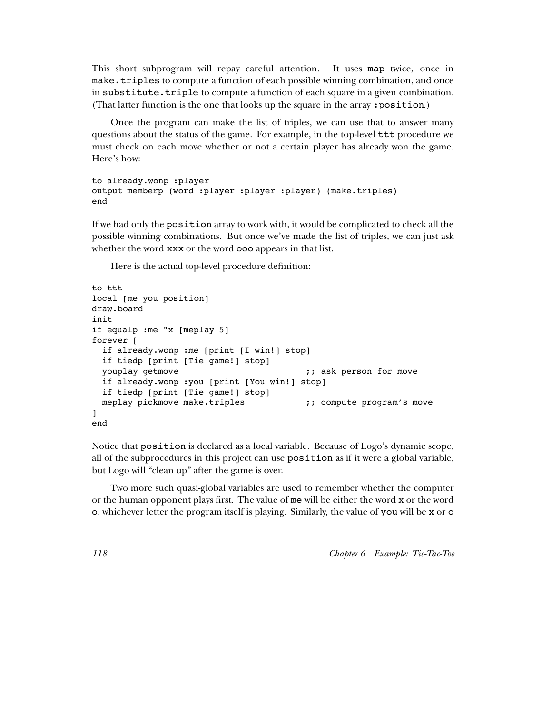It uses map twice, once in make.triples to compute a function of each possible winning combination, and once in  $\texttt{substitute.title}$  a compute a function of each square in a given combination. (That latter function is the one that looks up the square in the array : position.) This short subprogram will repay careful attention.

questions about the status of the game. For example, in the top-level  $ttt$  procedure we Once the program can make the list of triples, we can use that to answer many must check on each move whether or not a certain player has already won the game. Here's how:

```
to already.wonp :player
output memberp (word :player :player :player) (make.triples)
end
```
If we had only the position array to work with, it would be complicated to check all the whether the word xxx or the word **000** appears in that list. possible winning combinations. But once we've made the list of triples, we can just ask

Here is the actual top-level procedure definition:

```
to ttt
local [me you position]
draw.board
init
if equalp :me "x [meplay 5]
forever [
 if already.wonp :me [print [I win!] stop]
 if tiedp [print [Tie game!] stop]
 youplay getmove \hspace{1.6cm} ; ask person for move
 if already.wonp :you [print [You win!] stop]
 if tiedp [print [Tie game!] stop]
 meplay pickmove make.triples ;; compute program's move
]
end
```
Notice that position is declared as a local variable. Because of Logo's dynamic scope, all of the subprocedures in this project can use position as if it were a global variable, but Logo will "clean up" after the game is over.

or the human opponent plays first. The value of  $me$  will be either the word  $\mathbf x$  or the word  $\circ$ , whichever letter the program itself is playing. Similarly, the value of you will be x or  $\circ$ Two more such quasi-global variables are used to remember whether the computer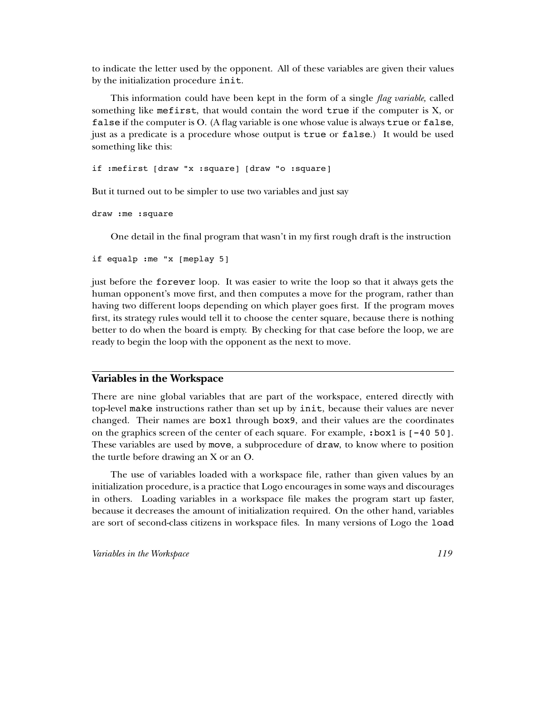by the initialization procedure init. to indicate the letter used by the opponent. All of these variables are given their values

This information could have been kept in the form of a single *flag variable*, called something like mefirst, that would contain the word true if the computer is X, or false if the computer is O. (A flag variable is one whose value is always true or false, just as a predicate is a procedure whose output is  $true$  or  $false$ .) It would be used something like this:

if :mefirst [draw "x :square] [draw "o :square]

But it turned out to be simpler to use two variables and just say

draw :me :square

One detail in the final program that wasn't in my first rough draft is the instruction

if equalp :me "x [meplay 5]

just before the forever loop. It was easier to write the loop so that it always gets the human opponent's move first, and then computes a move for the program, rather than having two different loops depending on which player goes first. If the program moves first, its strategy rules would tell it to choose the center square, because there is nothing better to do when the board is empty. By checking for that case before the loop, we are ready to begin the loop with the opponent as the next to move.

## **Variables in the Workspace**

top-level make instructions rather than set up by init, because their values are never changed. Their names are box1 through box9, and their values are the coordinates on the graphics screen of the center of each square. For example, : box1 is [-40 50]. These variables are used by move, a subprocedure of draw, to know where to position There are nine global variables that are part of the workspace, entered directly with the turtle before drawing an X or an O.

are sort of second-class citizens in workspace files. In many versions of Logo the 10ad The use of variables loaded with a workspace file, rather than given values by an initialization procedure, is a practice that Logo encourages in some ways and discourages in others. Loading variables in a workspace file makes the program start up faster, because it decreases the amount of initialization required. On the other hand, variables

*Variables in the Workspace 119*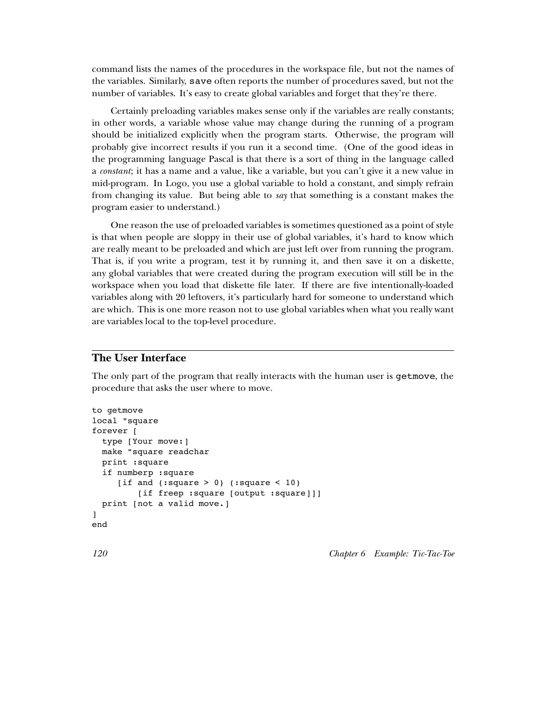the variables. Similarly, save often reports the number of procedures saved, but not the command lists the names of the procedures in the workspace file, but not the names of number of variables. It's easy to create global variables and forget that they're there.

a *constant*; it has a name and a value, like a variable, but you can't give it a new value in from changing its value. But being able to *say* that something is a constant makes the Certainly preloading variables makes sense only if the variables are really constants; in other words, a variable whose value may change during the running of a program should be initialized explicitly when the program starts. Otherwise, the program will probably give incorrect results if you run it a second time. (One of the good ideas in the programming language Pascal is that there is a sort of thing in the language called mid-program. In Logo, you use a global variable to hold a constant, and simply refrain program easier to understand.)

One reason the use of preloaded variables is sometimes questioned as a point of style is that when people are sloppy in their use of global variables, it's hard to know which are really meant to be preloaded and which are just left over from running the program. That is, if you write a program, test it by running it, and then save it on a diskette, any global variables that were created during the program execution will still be in the workspace when you load that diskette file later. If there are five intentionally-loaded variables along with 20 leftovers, it's particularly hard for someone to understand which are which. This is one more reason not to use global variables when what you really want are variables local to the top-level procedure.

# **The User Interface**

The only part of the program that really interacts with the human user is getmove, the procedure that asks the user where to move.

```
to getmove
local "square
forever [
 type [Your move:]
 make "square readchar
 print :square
 if numberp :square
     [if and (:square > 0) (:square < 10)
         [if freep : square [output : square]]]
 print [not a valid move.]
]
end
```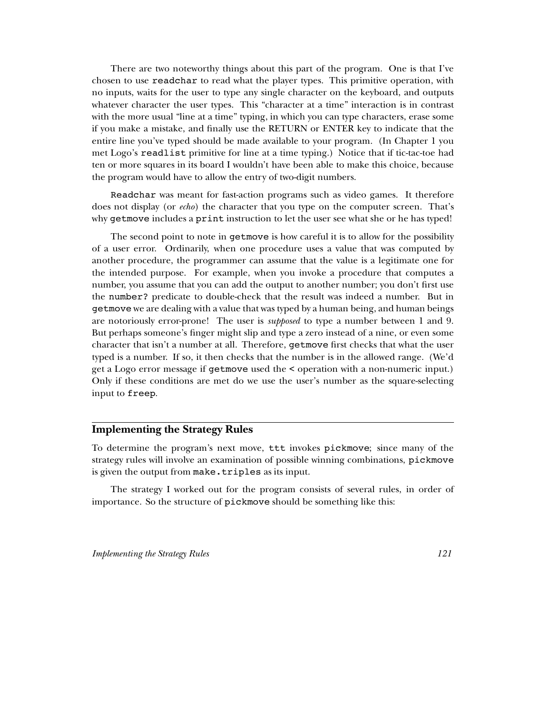chosen to use readchar to read what the player types. This primitive operation, with met Logo's readlist primitive for line at a time typing.) Notice that if tic-tac-toe had There are two noteworthy things about this part of the program. One is that I've no inputs, waits for the user to type any single character on the keyboard, and outputs whatever character the user types. This "character at a time" interaction is in contrast with the more usual "line at a time" typing, in which you can type characters, erase some if you make a mistake, and finally use the RETURN or ENTER key to indicate that the entire line you've typed should be made available to your program. (In Chapter 1 you ten or more squares in its board I wouldn't have been able to make this choice, because the program would have to allow the entry of two-digit numbers.

does not display (or *echo*) the character that you type on the computer screen. That's Readchar was meant for fast-action programs such as video games. It therefore why getmove includes a print instruction to let the user see what she or he has typed!

are notoriously error-prone! The user is *supposed* to type a number between 1 and 9. The second point to note in getmove is how careful it is to allow for the possibility the number? predicate to double-check that the result was indeed a number. But in getmove we are dealing with a value that was typed by a human being, and human beings character that isn't a number at all. Therefore, getmove first checks that what the user get a Logo error message if <code>getmove</code> used the <code><</code> operation with a non-numeric input.) input to freep. of a user error. Ordinarily, when one procedure uses a value that was computed by another procedure, the programmer can assume that the value is a legitimate one for the intended purpose. For example, when you invoke a procedure that computes a number, you assume that you can add the output to another number; you don't first use But perhaps someone's finger might slip and type a zero instead of a nine, or even some typed is a number. If so, it then checks that the number is in the allowed range. (We'd Only if these conditions are met do we use the user's number as the square-selecting

# **Implementing the Strategy Rules**

To determine the program's next move, ttt invokes pickmove; since many of the strategy rules will involve an examination of possible winning combinations, pickmove is given the output from make.triples as its input.

importance. So the structure of pickmove should be something like this: The strategy I worked out for the program consists of several rules, in order of

*Implementing the Strategy Rules 121*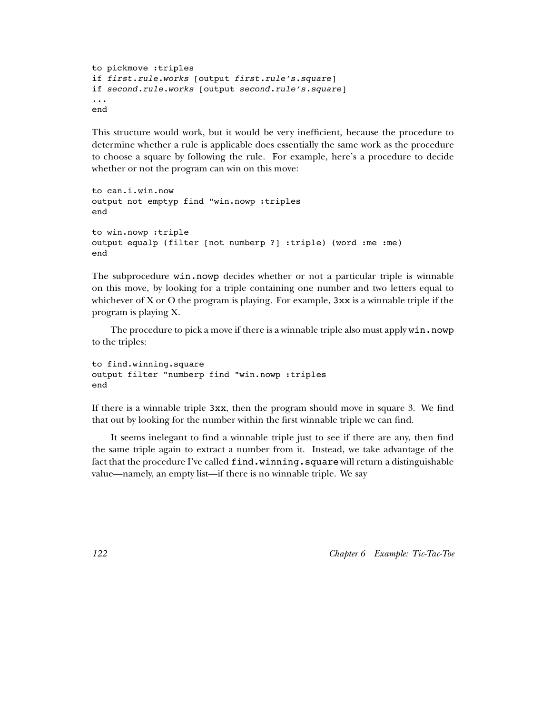```
if first.rule.works [output first.rule's.square]
if second.rule.works [output second.rule's.square]
to pickmove :triples
...
end
```
This structure would work, but it would be very inefficient, because the procedure to determine whether a rule is applicable does essentially the same work as the procedure to choose a square by following the rule. For example, here's a procedure to decide whether or not the program can win on this move:

```
to can.i.win.now
output not emptyp find "win.nowp :triples
end
to win.nowp :triple
output equalp (filter [not numberp ?] :triple) (word :me :me)
end
```
The subprocedure win.nowp decides whether or not a particular triple is winnable whichever of X or O the program is playing. For example,  $3xx$  is a winnable triple if the on this move, by looking for a triple containing one number and two letters equal to program is playing X.

The procedure to pick a move if there is a winnable triple also must apply  $\verb|win.nowp|$ to the triples:

```
to find.winning.square
output filter "numberp find "win.nowp :triples
end
```
If there is a winnable triple 3xx, then the program should move in square 3. We find that out by looking for the number within the first winnable triple we can find.

fact that the procedure I've called  $\mathtt{find}$  . <code>winning</code> . <code>square</code> will return a distinguishable It seems inelegant to find a winnable triple just to see if there are any, then find the same triple again to extract a number from it. Instead, we take advantage of the value—namely, an empty list—if there is no winnable triple. We say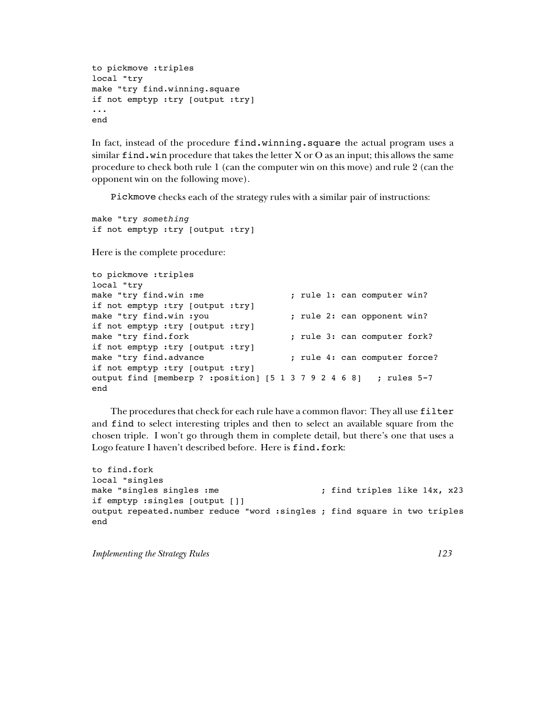```
to pickmove :triples
local "try
make "try find.winning.square
if not emptyp :try [output :try]
...
end
```
In fact, instead of the procedure find.winning.square the actual program uses a similar <code>find.win</code> procedure that takes the letter X or O as an input; this allows the same procedure to check both rule 1 (can the computer win on this move) and rule 2 (can the opponent win on the following move).

Pickmove checks each of the strategy rules with a similar pair of instructions:

```
make "try something
if not emptyp :try [output :try]
```
Here is the complete procedure:

```
to pickmove :triples
local "try
make "try find.win : me \qquad \qquad ; rule 1: can computer win?
if not emptyp :try [output :try]
make "try find.win :you ; rule 2: can opponent win?
if not emptyp :try [output :try]
make "try find.fork \qquad \qquad ; rule 3: can computer fork?
if not emptyp :try [output :try]
                                     ; rule 4: can computer force?
if not emptyp :try [output :try]
output find [memberp ? : position] [5 1 3 7 9 2 4 6 8] ; rules 5-7
end
```
The procedures that check for each rule have a common flavor: They all use  $\mathtt{filter}$ and find to select interesting triples and then to select an available square from the Logo feature I haven't described before. Here is  $\mathtt{find.fork:}$ chosen triple. I won't go through them in complete detail, but there's one that uses a

```
to find.fork
local "singles
make "singles singles : me ; find triples like 14x, x23
if emptyp :singles [output []]
output repeated.number reduce "word :singles ; find square in two triples
end
```
*Implementing the Strategy Rules 123*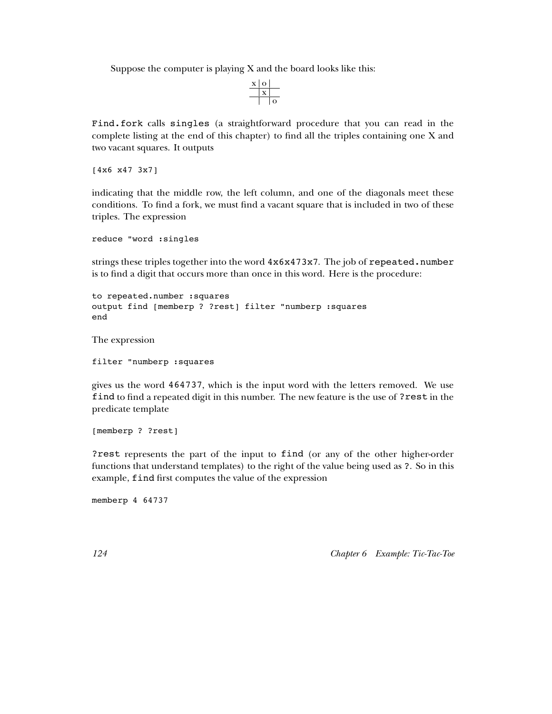Suppose the computer is playing X and the board looks like this:

$$
\begin{array}{c|c}\n\hline\nx & o \\
\hline\nx & o \\
\hline\n0\n\end{array}
$$

Find.fork singles calls (a straightforward procedure that you can read in the complete listing at the end of this chapter) to find all the triples containing one X and two vacant squares. It outputs

[4x6 x47 3x7]

indicating that the middle row, the left column, and one of the diagonals meet these conditions. To find a fork, we must find a vacant square that is included in two of these triples. The expression

```
reduce "word :singles
```
strings these triples together into the word  $4x6x473x7$ . The job of  $repeated$  . number is to find a digit that occurs more than once in this word. Here is the procedure:

```
to repeated.number :squares
output find [memberp ? ?rest] filter "numberp :squares
end
```
The expression

filter "numberp :squares

gives us the word 464737, which is the input word with the letters removed. We use find to find a repeated digit in this number. The new feature is the use of ?rest in the predicate template

[memberp ? ?rest]

Prest represents the part of the input to find (or any of the other higher-order functions that understand templates) to the right of the value being used as ?. So in this example, find first computes the value of the expression

memberp 4 64737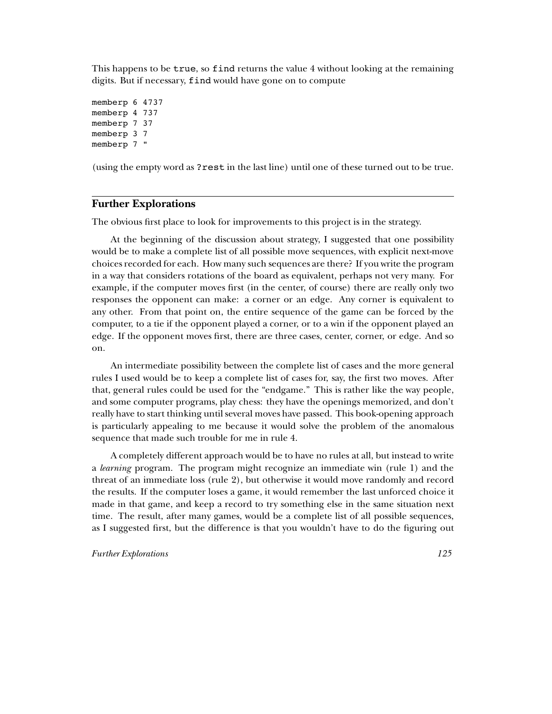This happens to be  $true$ , so find returns the value 4 without looking at the remaining digits. But if necessary, find would have gone on to compute

memberp 6 4737 memberp 4 737 memberp 7 37 memberp 3 7 memberp 7 "

(using the empty word as ?rest in the last line) until one of these turned out to be true.

# **Further Explorations**

The obvious first place to look for improvements to this project is in the strategy.

At the beginning of the discussion about strategy, I suggested that one possibility would be to make a complete list of all possible move sequences, with explicit next-move choices recorded for each. How many such sequences are there? If you write the program in a way that considers rotations of the board as equivalent, perhaps not very many. For example, if the computer moves first (in the center, of course) there are really only two responses the opponent can make: a corner or an edge. Any corner is equivalent to any other. From that point on, the entire sequence of the game can be forced by the computer, to a tie if the opponent played a corner, or to a win if the opponent played an edge. If the opponent moves first, there are three cases, center, corner, or edge. And so on.

An intermediate possibility between the complete list of cases and the more general rules I used would be to keep a complete list of cases for, say, the first two moves. After that, general rules could be used for the "endgame." This is rather like the way people, and some computer programs, play chess: they have the openings memorized, and don't really have to start thinking until several moves have passed. This book-opening approach is particularly appealing to me because it would solve the problem of the anomalous sequence that made such trouble for me in rule 4.

a learning program. The program might recognize an immediate win (rule 1) and the A completely different approach would be to have no rules at all, but instead to write threat of an immediate loss (rule 2), but otherwise it would move randomly and record the results. If the computer loses a game, it would remember the last unforced choice it made in that game, and keep a record to try something else in the same situation next time. The result, after many games, would be a complete list of all possible sequences, as I suggested first, but the difference is that you wouldn't have to do the figuring out

*Further Explorations 125*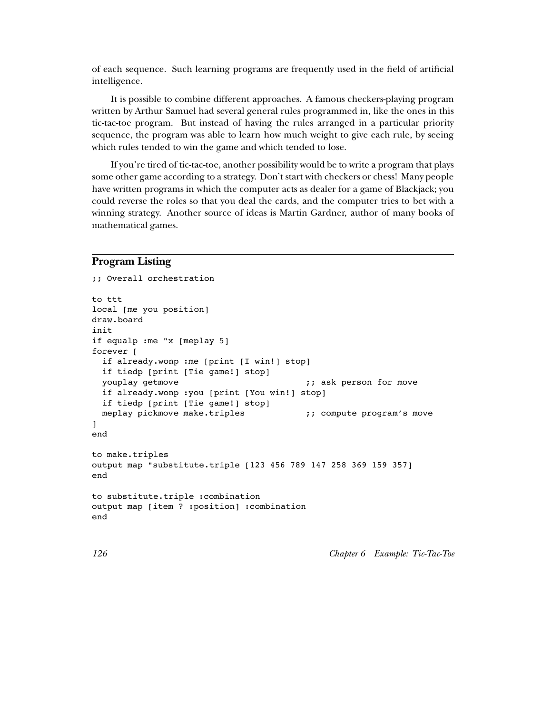of each sequence. Such learning programs are frequently used in the field of artificial intelligence.

It is possible to combine different approaches. A famous checkers-playing program written by Arthur Samuel had several general rules programmed in, like the ones in this tic-tac-toe program. But instead of having the rules arranged in a particular priority sequence, the program was able to learn how much weight to give each rule, by seeing which rules tended to win the game and which tended to lose.

If you're tired of tic-tac-toe, another possibility would be to write a program that plays some other game according to a strategy. Don't start with checkers or chess! Many people have written programs in which the computer acts as dealer for a game of Blackjack; you could reverse the roles so that you deal the cards, and the computer tries to bet with a winning strategy. Another source of ideas is Martin Gardner, author of many books of mathematical games.

## **Program Listing**

```
;; Overall orchestration
to ttt
local [me you position]
draw.board
init
if equalp :me "x [meplay 5]
forever [
 if already.wonp :me [print [I win!] stop]
 if tiedp [print [Tie game!] stop]
 youplay getmove \qquad \qquad ; ask person for move
 if already.wonp :you [print [You win!] stop]
 if tiedp [print [Tie game!] stop]
 meplay pickmove make.triples ;; compute program's move
]
end
to make.triples
output map "substitute.triple [123 456 789 147 258 369 159 357]
end
to substitute.triple :combination
output map [item ? :position] :combination
end
```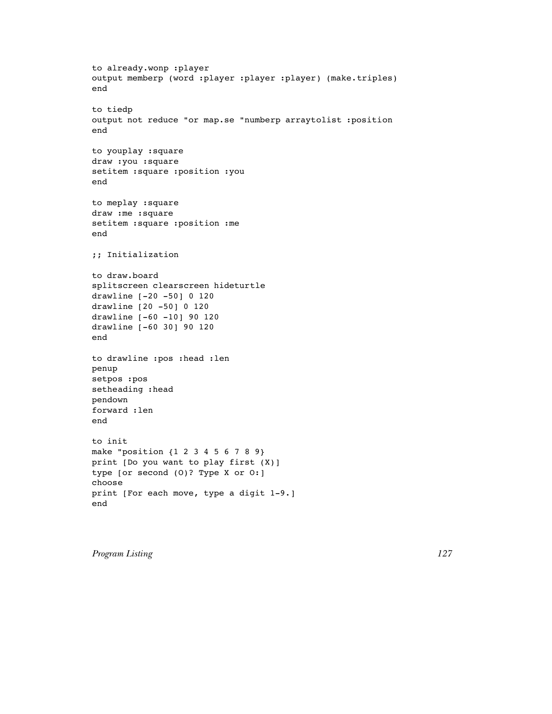```
to already.wonp :player
output memberp (word :player :player :player) (make.triples)
end
to tiedp
output not reduce "or map.se "numberp arraytolist :position
end
to youplay :square
draw :you :square
setitem :square :position :you
end
to meplay :square
draw :me :square
setitem :square :position :me
end
;; Initialization
to draw.board
splitscreen clearscreen hideturtle
drawline [-20 -50] 0 120
drawline [20 -50] 0 120
drawline [-60 -10] 90 120
drawline [-60 30] 90 120
end
to drawline :pos :head :len
penup
setpos :pos
setheading :head
pendown
forward :len
end
to init
make "position {1 2 3 4 5 6 7 8 9}
print [Do you want to play first (X)]
type [or second (O)? Type X or O:]
choose
print [For each move, type a digit 1-9.]
end
```
*Program Listing 127*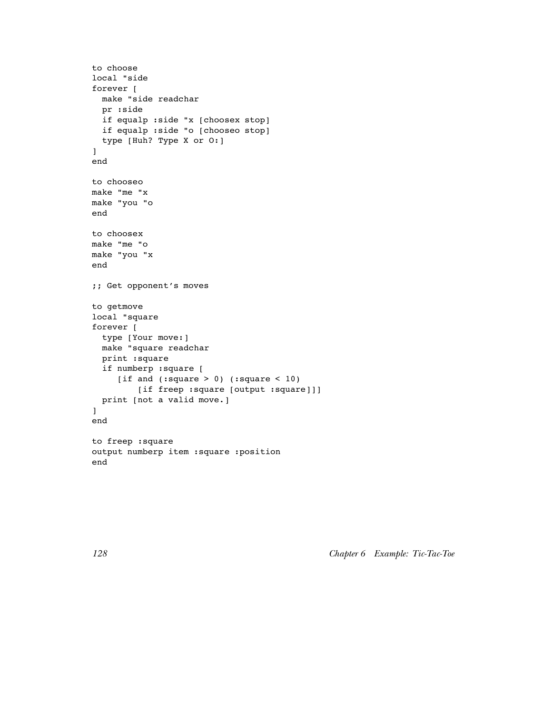```
to choose
local "side
forever [
  make "side readchar
  pr :side
  if equalp :side "x [choosex stop]
  if equalp :side "o [chooseo stop]
 type [Huh? Type X or O:]
]
end
to chooseo
make "me "x
make "you "o
end
to choosex
make "me "o
make "you "x
end
;; Get opponent's moves
to getmove
local "square
forever [
  type [Your move:]
 make "square readchar
 print :square
  if numberp :square [
     [if and (:square > 0) (:square < 10)
         [if freep : square [output : square]]]
  print [not a valid move.]
]
end
to freep :square
output numberp item :square :position
end
```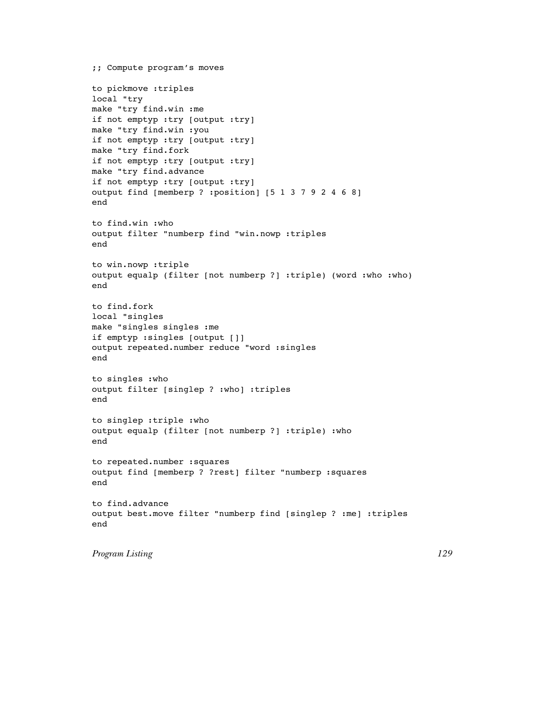;; Compute program's moves to pickmove :triples local "try make "try find.win :me if not emptyp :try [output :try] make "try find.win :you if not emptyp :try [output :try] make "try find.fork if not emptyp :try [output :try] make "try find.advance if not emptyp :try [output :try] output find [memberp ? :position] [5 1 3 7 9 2 4 6 8] end to find.win :who output filter "numberp find "win.nowp :triples end to win.nowp :triple output equalp (filter [not numberp ?] :triple) (word :who :who) end to find.fork local "singles make "singles singles :me if emptyp :singles [output []] output repeated.number reduce "word :singles end to singles :who output filter [singlep ? :who] :triples end to singlep :triple :who output equalp (filter [not numberp ?] :triple) :who end to repeated.number :squares output find [memberp ? ?rest] filter "numberp :squares end to find.advance output best.move filter "numberp find [singlep ? :me] :triples end

*Program Listing 129*